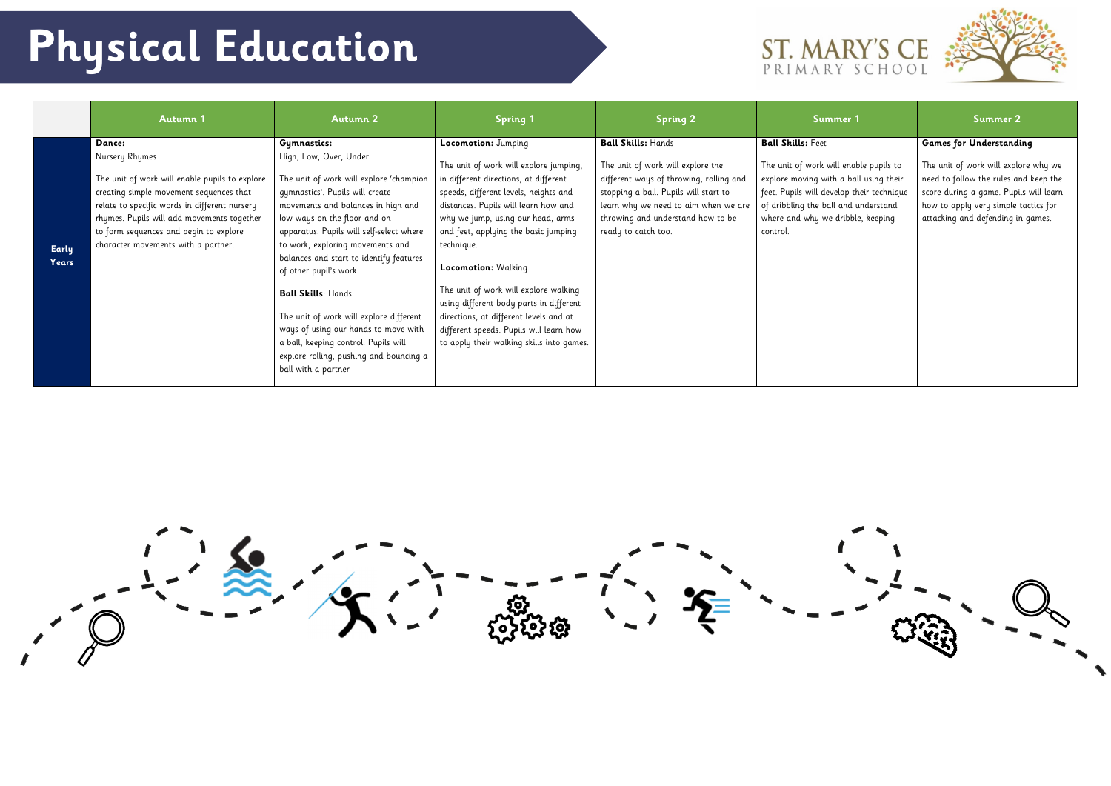|                | <b>Autumn 1</b>                                                                                                                                                                                                                                                                                       | <b>Autumn 2</b>                                                                                                                                                                                                                                                                                                                                                                                                                                                                                                                                                          | <b>Spring 1</b>                                                                                                                                                                                                                                                                                                                                                                                                                                                                                                                 | <b>Spring 2</b>                                                                                                                                                                                                                                        | Summer 1                                                                                                                                                                                                                                           | Summer 2                                                                                                                                                                                                                               |
|----------------|-------------------------------------------------------------------------------------------------------------------------------------------------------------------------------------------------------------------------------------------------------------------------------------------------------|--------------------------------------------------------------------------------------------------------------------------------------------------------------------------------------------------------------------------------------------------------------------------------------------------------------------------------------------------------------------------------------------------------------------------------------------------------------------------------------------------------------------------------------------------------------------------|---------------------------------------------------------------------------------------------------------------------------------------------------------------------------------------------------------------------------------------------------------------------------------------------------------------------------------------------------------------------------------------------------------------------------------------------------------------------------------------------------------------------------------|--------------------------------------------------------------------------------------------------------------------------------------------------------------------------------------------------------------------------------------------------------|----------------------------------------------------------------------------------------------------------------------------------------------------------------------------------------------------------------------------------------------------|----------------------------------------------------------------------------------------------------------------------------------------------------------------------------------------------------------------------------------------|
| Early<br>Years | Dance:<br>Nursery Rhymes<br>The unit of work will enable pupils to explore<br>creating simple movement sequences that<br>relate to specific words in different nursery<br>rhymes. Pupils will add movements together<br>to form sequences and begin to explore<br>character movements with a partner. | Gymnastics:<br>High, Low, Over, Under<br>The unit of work will explore 'champion<br>gymnastics'. Pupils will create<br>movements and balances in high and<br>low ways on the floor and on<br>apparatus. Pupils will self-select where<br>to work, exploring movements and<br>balances and start to identify features<br>of other pupil's work.<br><b>Ball Skills: Hands</b><br>The unit of work will explore different<br>ways of using our hands to move with<br>a ball, keeping control. Pupils will<br>explore rolling, pushing and bouncing a<br>ball with a partner | Locomotion: Jumping<br>The unit of work will explore jumping,<br>in different directions, at different<br>speeds, different levels, heights and<br>distances. Pupils will learn how and<br>why we jump, using our head, arms<br>and feet, applying the basic jumping<br>technique.<br>Locomotion: Walking<br>The unit of work will explore walking<br>using different body parts in different<br>directions, at different levels and at<br>different speeds. Pupils will learn how<br>to apply their walking skills into games. | <b>Ball Skills: Hands</b><br>The unit of work will explore the<br>different ways of throwing, rolling and<br>stopping a ball. Pupils will start to<br>learn why we need to aim when we are<br>throwing and understand how to be<br>ready to catch too. | <b>Ball Skills: Feet</b><br>The unit of work will enable pupils to<br>explore moving with a ball using their<br>feet. Pupils will develop their technique<br>of dribbling the ball and understand<br>where and why we dribble, keeping<br>control. | <b>Games for Understanding</b><br>The unit of work will explore why we<br>need to follow the rules and keep the<br>score during a game. Pupils will learn<br>how to apply very simple tactics for<br>attacking and defending in games. |



## ST. MARY'S CE



## **Physical Education**

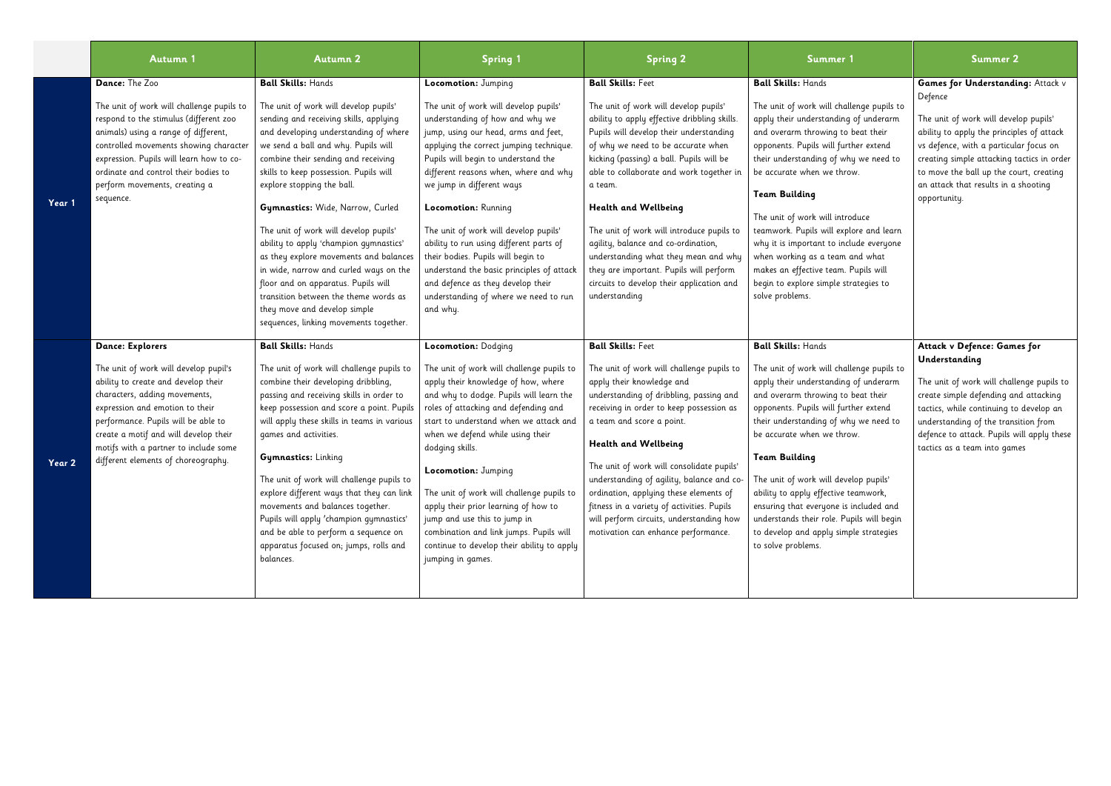|        | <b>Autumn 1</b>                                                                                                                                                                                                                                                                                                                             | <b>Autumn 2</b>                                                                                                                                                                                                                                                                                                                                                                                                                                                                                                                                                                                                                                                                  | <b>Spring 1</b>                                                                                                                                                                                                                                                                                                                                                                                                                                                                                                                                                                         | <b>Spring 2</b>                                                                                                                                                                                                                                                                                                                                                                                                                                                                                                                                                    | Summer 1                                                                                                                                                                                                                                                                                                                                                                                                                                                                                                                                                      | <b>Summer 2</b>                                                                                                                                                                                                                                                                                                               |
|--------|---------------------------------------------------------------------------------------------------------------------------------------------------------------------------------------------------------------------------------------------------------------------------------------------------------------------------------------------|----------------------------------------------------------------------------------------------------------------------------------------------------------------------------------------------------------------------------------------------------------------------------------------------------------------------------------------------------------------------------------------------------------------------------------------------------------------------------------------------------------------------------------------------------------------------------------------------------------------------------------------------------------------------------------|-----------------------------------------------------------------------------------------------------------------------------------------------------------------------------------------------------------------------------------------------------------------------------------------------------------------------------------------------------------------------------------------------------------------------------------------------------------------------------------------------------------------------------------------------------------------------------------------|--------------------------------------------------------------------------------------------------------------------------------------------------------------------------------------------------------------------------------------------------------------------------------------------------------------------------------------------------------------------------------------------------------------------------------------------------------------------------------------------------------------------------------------------------------------------|---------------------------------------------------------------------------------------------------------------------------------------------------------------------------------------------------------------------------------------------------------------------------------------------------------------------------------------------------------------------------------------------------------------------------------------------------------------------------------------------------------------------------------------------------------------|-------------------------------------------------------------------------------------------------------------------------------------------------------------------------------------------------------------------------------------------------------------------------------------------------------------------------------|
| Year 1 | Dance: The Zoo<br>The unit of work will challenge pupils to<br>respond to the stimulus (different zoo<br>animals) using a range of different,<br>controlled movements showing character<br>expression. Pupils will learn how to co-<br>ordinate and control their bodies to<br>perform movements, creating a<br>sequence.                   | <b>Ball Skills: Hands</b><br>The unit of work will develop pupils'<br>sending and receiving skills, applying<br>and developing understanding of where<br>we send a ball and why. Pupils will<br>combine their sending and receiving<br>skills to keep possession. Pupils will<br>explore stopping the ball.<br>Gymnastics: Wide, Narrow, Curled<br>The unit of work will develop pupils'<br>ability to apply 'champion gymnastics'<br>as they explore movements and balances<br>in wide, narrow and curled ways on the<br>floor and on apparatus. Pupils will<br>transition between the theme words as<br>they move and develop simple<br>sequences, linking movements together. | Locomotion: Jumping<br>The unit of work will develop pupils'<br>understanding of how and why we<br>jump, using our head, arms and feet,<br>applying the correct jumping technique.<br>Pupils will begin to understand the<br>different reasons when, where and why<br>we jump in different ways<br>Locomotion: Running<br>The unit of work will develop pupils'<br>ability to run using different parts of<br>their bodies. Pupils will begin to<br>understand the basic principles of attack<br>and defence as they develop their<br>understanding of where we need to run<br>and why. | <b>Ball Skills: Feet</b><br>The unit of work will develop pupils'<br>ability to apply effective dribbling skills.<br>Pupils will develop their understanding<br>of why we need to be accurate when<br>kicking (passing) a ball. Pupils will be<br>able to collaborate and work together in<br>a team.<br>Health and Wellbeing<br>The unit of work will introduce pupils to<br>agility, balance and co-ordination,<br>understanding what they mean and why<br>they are important. Pupils will perform<br>circuits to develop their application and<br>understanding | <b>Ball Skills: Hands</b><br>The unit of work will challenge pupils to<br>apply their understanding of underarm<br>and overarm throwing to beat their<br>opponents. Pupils will further extend<br>their understanding of why we need to<br>be accurate when we throw.<br><b>Team Building</b><br>The unit of work will introduce<br>teamwork. Pupils will explore and learn<br>why it is important to include everyone<br>when working as a team and what<br>makes an effective team. Pupils will<br>begin to explore simple strategies to<br>solve problems. | Games for Understanding: Attack v<br>Defence<br>The unit of work will develop pupils'<br>ability to apply the principles of attack<br>vs defence, with a particular focus on<br>creating simple attacking tactics in order<br>to move the ball up the court, creating<br>an attack that results in a shooting<br>opportunity. |
| Year 2 | <b>Dance: Explorers</b><br>The unit of work will develop pupil's<br>ability to create and develop their<br>characters, adding movements,<br>expression and emotion to their<br>performance. Pupils will be able to<br>create a motif and will develop their<br>motifs with a partner to include some<br>different elements of choreography. | <b>Ball Skills: Hands</b><br>The unit of work will challenge pupils to<br>combine their developing dribbling,<br>passing and receiving skills in order to<br>keep possession and score a point. Pupils<br>will apply these skills in teams in various<br>games and activities.<br><b>Gymnastics:</b> Linking<br>The unit of work will challenge pupils to<br>explore different ways that they can link<br>movements and balances together.<br>Pupils will apply 'champion gymnastics'<br>and be able to perform a sequence on<br>apparatus focused on; jumps, rolls and<br>balances.                                                                                             | Locomotion: Dodging<br>The unit of work will challenge pupils to<br>apply their knowledge of how, where<br>and why to dodge. Pupils will learn the<br>roles of attacking and defending and<br>start to understand when we attack and<br>when we defend while using their<br>dodging skills.<br>Locomotion: Jumping<br>The unit of work will challenge pupils to<br>apply their prior learning of how to<br>jump and use this to jump in<br>combination and link jumps. Pupils will<br>continue to develop their ability to apply<br>jumping in games.                                   | <b>Ball Skills: Feet</b><br>The unit of work will challenge pupils to<br>apply their knowledge and<br>understanding of dribbling, passing and<br>receiving in order to keep possession as<br>a team and score a point.<br><b>Health and Wellbeing</b><br>The unit of work will consolidate pupils'<br>understanding of agility, balance and co-<br>ordination, applying these elements of<br>fitness in a variety of activities. Pupils<br>will perform circuits, understanding how<br>motivation can enhance performance.                                         | <b>Ball Skills: Hands</b><br>The unit of work will challenge pupils to<br>apply their understanding of underarm<br>and overarm throwing to beat their<br>opponents. Pupils will further extend<br>their understanding of why we need to<br>be accurate when we throw.<br><b>Team Building</b><br>The unit of work will develop pupils'<br>ability to apply effective teamwork,<br>ensuring that everyone is included and<br>understands their role. Pupils will begin<br>to develop and apply simple strategies<br>to solve problems.                         | Attack v Defence: Games for<br>Understanding<br>The unit of work will challenge pupils to<br>create simple defending and attacking<br>tactics, while continuing to develop an<br>understanding of the transition from<br>defence to attack. Pupils will apply these<br>tactics as a team into games                           |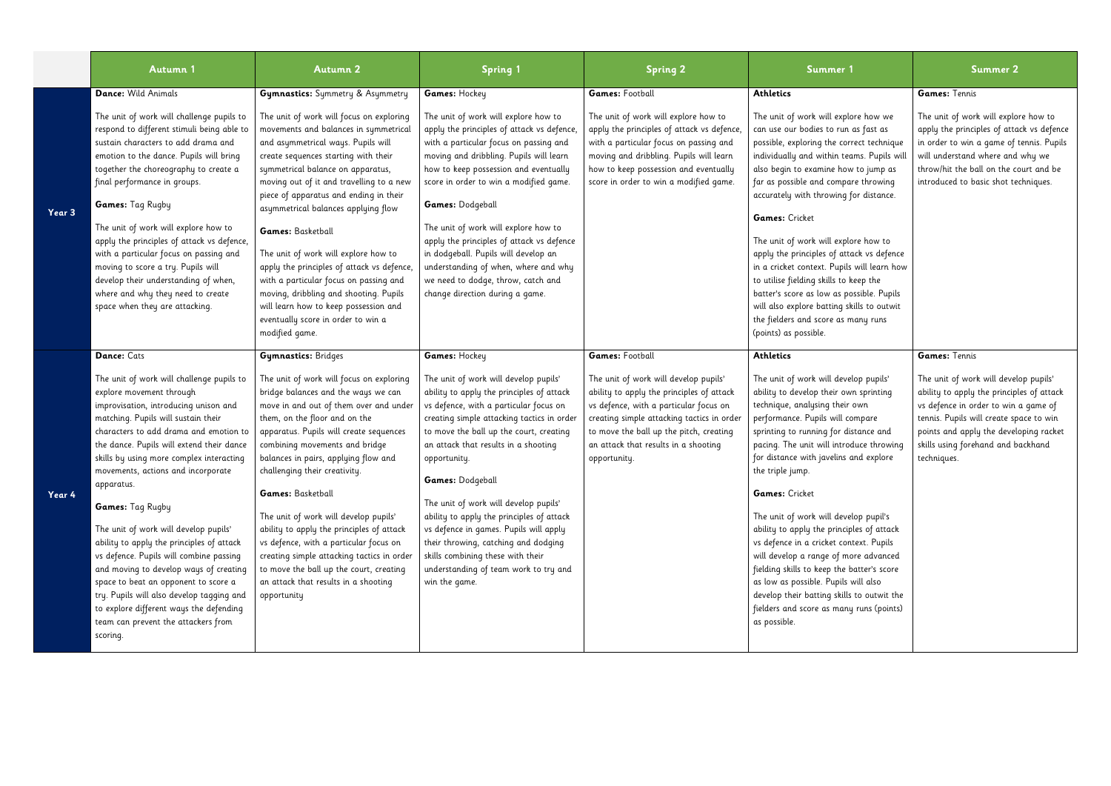|        | <b>Autumn 1</b>                                                                                                                                                                                                                                                                                                                                                                                                                                                                                                                                                                                                                                                                                                                               | <b>Autumn 2</b>                                                                                                                                                                                                                                                                                                                                                                                                                                                                                                                                                                                                                                                              | <b>Spring 1</b>                                                                                                                                                                                                                                                                                                                                                                                                                                                                                                                                                                           | <b>Spring 2</b>                                                                                                                                                                                                                                                                                         | Summer 1                                                                                                                                                                                                                                                                                                                                                                                                                                                                                                                                                                                                                                                                                                                 | <b>Summer 2</b>                                                                                                                                                                                                                                                                       |
|--------|-----------------------------------------------------------------------------------------------------------------------------------------------------------------------------------------------------------------------------------------------------------------------------------------------------------------------------------------------------------------------------------------------------------------------------------------------------------------------------------------------------------------------------------------------------------------------------------------------------------------------------------------------------------------------------------------------------------------------------------------------|------------------------------------------------------------------------------------------------------------------------------------------------------------------------------------------------------------------------------------------------------------------------------------------------------------------------------------------------------------------------------------------------------------------------------------------------------------------------------------------------------------------------------------------------------------------------------------------------------------------------------------------------------------------------------|-------------------------------------------------------------------------------------------------------------------------------------------------------------------------------------------------------------------------------------------------------------------------------------------------------------------------------------------------------------------------------------------------------------------------------------------------------------------------------------------------------------------------------------------------------------------------------------------|---------------------------------------------------------------------------------------------------------------------------------------------------------------------------------------------------------------------------------------------------------------------------------------------------------|--------------------------------------------------------------------------------------------------------------------------------------------------------------------------------------------------------------------------------------------------------------------------------------------------------------------------------------------------------------------------------------------------------------------------------------------------------------------------------------------------------------------------------------------------------------------------------------------------------------------------------------------------------------------------------------------------------------------------|---------------------------------------------------------------------------------------------------------------------------------------------------------------------------------------------------------------------------------------------------------------------------------------|
| Year 3 | Dance: Wild Animals<br>The unit of work will challenge pupils to<br>respond to different stimuli being able to<br>sustain characters to add drama and<br>emotion to the dance. Pupils will bring<br>together the choreography to create a<br>final performance in groups.<br>Games: Tag Rugby<br>The unit of work will explore how to<br>apply the principles of attack vs defence,<br>with a particular focus on passing and<br>moving to score a try. Pupils will<br>develop their understanding of when,<br>where and why they need to create<br>space when they are attacking.                                                                                                                                                            | <b>Gymnastics:</b> Symmetry & Asymmetry<br>The unit of work will focus on exploring<br>movements and balances in symmetrical<br>and asymmetrical ways. Pupils will<br>create sequences starting with their<br>symmetrical balance on apparatus,<br>moving out of it and travelling to a new<br>piece of apparatus and ending in their<br>asymmetrical balances applying flow<br>Games: Basketball<br>The unit of work will explore how to<br>apply the principles of attack vs defence,<br>with a particular focus on passing and<br>moving, dribbling and shooting. Pupils<br>will learn how to keep possession and<br>eventually score in order to win a<br>modified game. | Games: Hockey<br>The unit of work will explore how to<br>apply the principles of attack vs defence,<br>with a particular focus on passing and<br>moving and dribbling. Pupils will learn<br>how to keep possession and eventually<br>score in order to win a modified game.<br>Games: Dodgeball<br>The unit of work will explore how to<br>apply the principles of attack vs defence<br>in dodgeball. Pupils will develop an<br>understanding of when, where and why<br>we need to dodge, throw, catch and<br>change direction during a game.                                             | <b>Games: Football</b><br>The unit of work will explore how to<br>apply the principles of attack vs defence,<br>with a particular focus on passing and<br>moving and dribbling. Pupils will learn<br>how to keep possession and eventually<br>score in order to win a modified game.                    | <b>Athletics</b><br>The unit of work will explore how we<br>can use our bodies to run as fast as<br>possible, exploring the correct technique<br>individually and within teams. Pupils will<br>also begin to examine how to jump as<br>far as possible and compare throwing<br>accurately with throwing for distance.<br><b>Games:</b> Cricket<br>The unit of work will explore how to<br>apply the principles of attack vs defence<br>in a cricket context. Pupils will learn how<br>to utilise fielding skills to keep the<br>batter's score as low as possible. Pupils<br>will also explore batting skills to outwit<br>the fielders and score as many runs<br>(points) as possible.                                  | Games: Tennis<br>The unit of work will explore how to<br>apply the principles of attack vs defence<br>in order to win a game of tennis. Pupils<br>will understand where and why we<br>throw/hit the ball on the court and be<br>introduced to basic shot techniques.                  |
| Year 4 | Dance: Cats<br>The unit of work will challenge pupils to<br>explore movement through<br>improvisation, introducing unison and<br>matching. Pupils will sustain their<br>characters to add drama and emotion to<br>the dance. Pupils will extend their dance<br>skills by using more complex interacting<br>movements, actions and incorporate<br>apparatus.<br>Games: Tag Rugby<br>The unit of work will develop pupils'<br>ability to apply the principles of attack<br>vs defence. Pupils will combine passing<br>and moving to develop ways of creating<br>space to beat an opponent to score a<br>try. Pupils will also develop tagging and<br>to explore different ways the defending<br>team can prevent the attackers from<br>scoring. | <b>Gymnastics:</b> Bridges<br>The unit of work will focus on exploring<br>bridge balances and the ways we can<br>move in and out of them over and under<br>them, on the floor and on the<br>apparatus. Pupils will create sequences<br>combining movements and bridge<br>balances in pairs, applying flow and<br>challenging their creativity.<br><b>Games:</b> Basketball<br>The unit of work will develop pupils'<br>ability to apply the principles of attack<br>vs defence, with a particular focus on<br>creating simple attacking tactics in order<br>to move the ball up the court, creating<br>an attack that results in a shooting<br>opportunity                   | Games: Hockey<br>The unit of work will develop pupils'<br>ability to apply the principles of attack<br>vs defence, with a particular focus on<br>creating simple attacking tactics in order<br>to move the ball up the court, creating<br>an attack that results in a shooting<br>opportunity.<br>Games: Dodgeball<br>The unit of work will develop pupils'<br>ability to apply the principles of attack<br>vs defence in games. Pupils will apply<br>their throwing, catching and dodging<br>skills combining these with their<br>understanding of team work to try and<br>win the game. | <b>Games: Football</b><br>The unit of work will develop pupils'<br>ability to apply the principles of attack<br>vs defence, with a particular focus on<br>creating simple attacking tactics in order<br>to move the ball up the pitch, creating<br>an attack that results in a shooting<br>opportunity. | <b>Athletics</b><br>The unit of work will develop pupils'<br>ability to develop their own sprinting<br>technique, analysing their own<br>performance. Pupils will compare<br>sprinting to running for distance and<br>pacing. The unit will introduce throwing<br>for distance with javelins and explore<br>the triple jump.<br>Games: Cricket<br>The unit of work will develop pupil's<br>ability to apply the principles of attack<br>vs defence in a cricket context. Pupils<br>will develop a range of more advanced<br>fielding skills to keep the batter's score<br>as low as possible. Pupils will also<br>develop their batting skills to outwit the<br>fielders and score as many runs (points)<br>as possible. | Games: Tennis<br>The unit of work will develop pupils'<br>ability to apply the principles of attack<br>vs defence in order to win a game of<br>tennis. Pupils will create space to win<br>points and apply the developing racket<br>skills using forehand and backhand<br>techniques. |